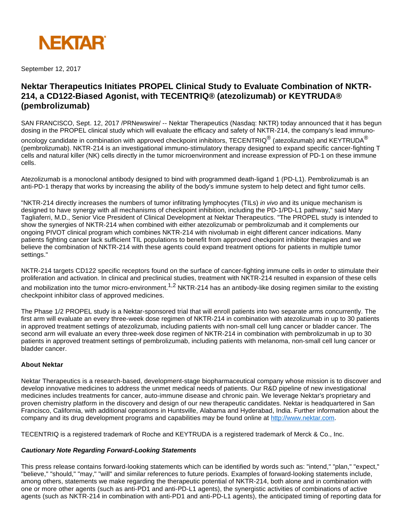

September 12, 2017

## **Nektar Therapeutics Initiates PROPEL Clinical Study to Evaluate Combination of NKTR-214, a CD122-Biased Agonist, with TECENTRIQ® (atezolizumab) or KEYTRUDA® (pembrolizumab)**

SAN FRANCISCO, Sept. 12, 2017 /PRNewswire/ -- Nektar Therapeutics (Nasdaq: NKTR) today announced that it has begun dosing in the PROPEL clinical study which will evaluate the efficacy and safety of NKTR-214, the company's lead immuno-

oncology candidate in combination with approved checkpoint inhibitors, TECENTRIQ $^{\circledR}$  (atezolizumab) and KEYTRUDA $^{\circledR}$ (pembrolizumab). NKTR-214 is an investigational immuno-stimulatory therapy designed to expand specific cancer-fighting T cells and natural killer (NK) cells directly in the tumor microenvironment and increase expression of PD-1 on these immune cells.

Atezolizumab is a monoclonal antibody designed to bind with programmed death-ligand 1 (PD-L1). Pembrolizumab is an anti-PD-1 therapy that works by increasing the ability of the body's immune system to help detect and fight tumor cells.

"NKTR-214 directly increases the numbers of tumor infiltrating lymphocytes (TILs) in vivo and its unique mechanism is designed to have synergy with all mechanisms of checkpoint inhibition, including the PD-1/PD-L1 pathway," said Mary Tagliaferri, M.D., Senior Vice President of Clinical Development at Nektar Therapeutics. "The PROPEL study is intended to show the synergies of NKTR-214 when combined with either atezolizumab or pembrolizumab and it complements our ongoing PIVOT clinical program which combines NKTR-214 with nivolumab in eight different cancer indications. Many patients fighting cancer lack sufficient TIL populations to benefit from approved checkpoint inhibitor therapies and we believe the combination of NKTR-214 with these agents could expand treatment options for patients in multiple tumor settings."

NKTR-214 targets CD122 specific receptors found on the surface of cancer-fighting immune cells in order to stimulate their proliferation and activation. In clinical and preclinical studies, treatment with NKTR-214 resulted in expansion of these cells

and mobilization into the tumor micro-environment.<sup>1,2</sup> NKTR-214 has an antibody-like dosing regimen similar to the existing checkpoint inhibitor class of approved medicines.

The Phase 1/2 PROPEL study is a Nektar-sponsored trial that will enroll patients into two separate arms concurrently. The first arm will evaluate an every three-week dose regimen of NKTR-214 in combination with atezolizumab in up to 30 patients in approved treatment settings of atezolizumab, including patients with non-small cell lung cancer or bladder cancer. The second arm will evaluate an every three-week dose regimen of NKTR-214 in combination with pembrolizumab in up to 30 patients in approved treatment settings of pembrolizumab, including patients with melanoma, non-small cell lung cancer or bladder cancer.

## **About Nektar**

Nektar Therapeutics is a research-based, development-stage biopharmaceutical company whose mission is to discover and develop innovative medicines to address the unmet medical needs of patients. Our R&D pipeline of new investigational medicines includes treatments for cancer, auto-immune disease and chronic pain. We leverage Nektar's proprietary and proven chemistry platform in the discovery and design of our new therapeutic candidates. Nektar is headquartered in San Francisco, California, with additional operations in Huntsville, Alabama and Hyderabad, India. Further information about the company and its drug development programs and capabilities may be found online at [http://www.nektar.com.](http://www.nektar.com/)

TECENTRIQ is a registered trademark of Roche and KEYTRUDA is a registered trademark of Merck & Co., Inc.

## **Cautionary Note Regarding Forward-Looking Statements**

This press release contains forward-looking statements which can be identified by words such as: "intend," "plan," "expect," "believe," "should," "may," "will" and similar references to future periods. Examples of forward-looking statements include, among others, statements we make regarding the therapeutic potential of NKTR-214, both alone and in combination with one or more other agents (such as anti-PD1 and anti-PD-L1 agents), the synergistic activities of combinations of active agents (such as NKTR-214 in combination with anti-PD1 and anti-PD-L1 agents), the anticipated timing of reporting data for